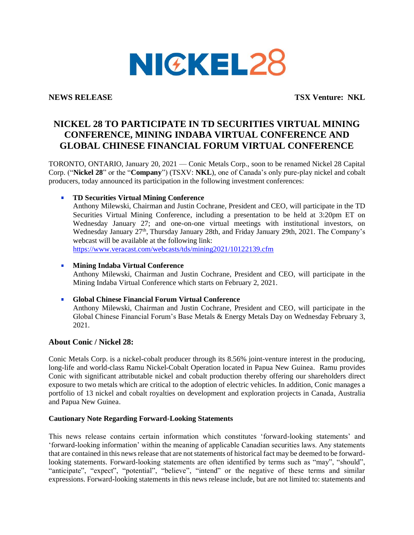

**NEWS RELEASE TSX Venture: NKL**

# **NICKEL 28 TO PARTICIPATE IN TD SECURITIES VIRTUAL MINING CONFERENCE, MINING INDABA VIRTUAL CONFERENCE AND GLOBAL CHINESE FINANCIAL FORUM VIRTUAL CONFERENCE**

TORONTO, ONTARIO, January 20, 2021 — Conic Metals Corp., soon to be renamed Nickel 28 Capital Corp. ("**Nickel 28**" or the "**Company**") (TSXV: **NKL**), one of Canada's only pure-play nickel and cobalt producers, today announced its participation in the following investment conferences:

## **TD Securities Virtual Mining Conference**

Anthony Milewski, Chairman and Justin Cochrane, President and CEO, will participate in the TD Securities Virtual Mining Conference, including a presentation to be held at 3:20pm ET on Wednesday January 27; and one-on-one virtual meetings with institutional investors, on Wednesday January 27<sup>th</sup>, Thursday January 28th, and Friday January 29th, 2021. The Company's webcast will be available at the following link:

<https://www.veracast.com/webcasts/tds/mining2021/10122139.cfm>

### **Mining Indaba Virtual Conference** a.

Anthony Milewski, Chairman and Justin Cochrane, President and CEO, will participate in the Mining Indaba Virtual Conference which starts on February 2, 2021.

#### a. **Global Chinese Financial Forum Virtual Conference**

Anthony Milewski, Chairman and Justin Cochrane, President and CEO, will participate in the Global Chinese Financial Forum's Base Metals & Energy Metals Day on Wednesday February 3, 2021.

### **About Conic / Nickel 28:**

Conic Metals Corp. is a nickel-cobalt producer through its 8.56% joint-venture interest in the producing, long-life and world-class Ramu Nickel-Cobalt Operation located in Papua New Guinea. Ramu provides Conic with significant attributable nickel and cobalt production thereby offering our shareholders direct exposure to two metals which are critical to the adoption of electric vehicles. In addition, Conic manages a portfolio of 13 nickel and cobalt royalties on development and exploration projects in Canada, Australia and Papua New Guinea.

### **Cautionary Note Regarding Forward-Looking Statements**

This news release contains certain information which constitutes 'forward-looking statements' and 'forward-looking information' within the meaning of applicable Canadian securities laws. Any statements that are contained in this news release that are not statements of historical fact may be deemed to be forwardlooking statements. Forward-looking statements are often identified by terms such as "may", "should", "anticipate", "expect", "potential", "believe", "intend" or the negative of these terms and similar expressions. Forward-looking statements in this news release include, but are not limited to: statements and